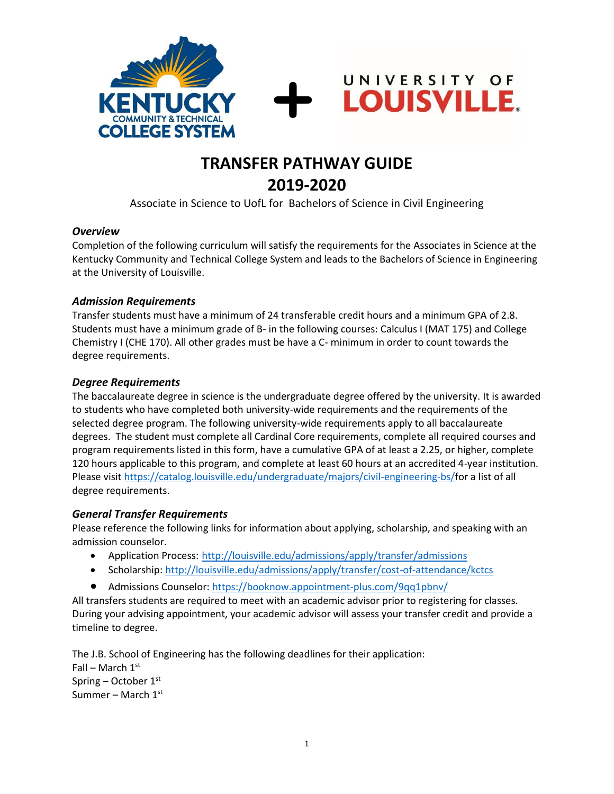



UNIVERSITY OF

**LOUISVILLE.** 

Associate in Science to UofL for Bachelors of Science in Civil Engineering

#### *Overview*

Completion of the following curriculum will satisfy the requirements for the Associates in Science at the Kentucky Community and Technical College System and leads to the Bachelors of Science in Engineering at the University of Louisville.

#### *Admission Requirements*

Transfer students must have a minimum of 24 transferable credit hours and a minimum GPA of 2.8. Students must have a minimum grade of B- in the following courses: Calculus I (MAT 175) and College Chemistry I (CHE 170). All other grades must be have a C- minimum in order to count towards the degree requirements.

#### *Degree Requirements*

The baccalaureate degree in science is the undergraduate degree offered by the university. It is awarded to students who have completed both university-wide requirements and the requirements of the selected degree program. The following university-wide requirements apply to all baccalaureate degrees. The student must complete all Cardinal Core requirements, complete all required courses and program requirements listed in this form, have a cumulative GPA of at least a 2.25, or higher, complete 120 hours applicable to this program, and complete at least 60 hours at an accredited 4-year institution. Please visit https://catalog.louisville.edu/undergraduate/majors/civil-engineering-bs/for a list of all degree requirements.

#### *General Transfer Requirements*

Please reference the following links for information about applying, scholarship, and speaking with an admission counselor.

- Application Process: http://louisville.edu/admissions/apply/transfer/admissions
- Scholarship[: http://louisville.edu/admissions/apply/transfer/cost-of-attendance/kctcs](http://louisville.edu/admissions/apply/transfer/cost-of-attendance/kctcs)
- Admissions Counselor[: https://booknow.appointment-plus.com/9qq1pbnv/](https://booknow.appointment-plus.com/9qq1pbnv/)

All transfers students are required to meet with an academic advisor prior to registering for classes. During your advising appointment, your academic advisor will assess your transfer credit and provide a timeline to degree.

The J.B. School of Engineering has the following deadlines for their application: Fall – March  $1<sup>st</sup>$ Spring – October  $1<sup>st</sup>$ Summer – March  $1<sup>st</sup>$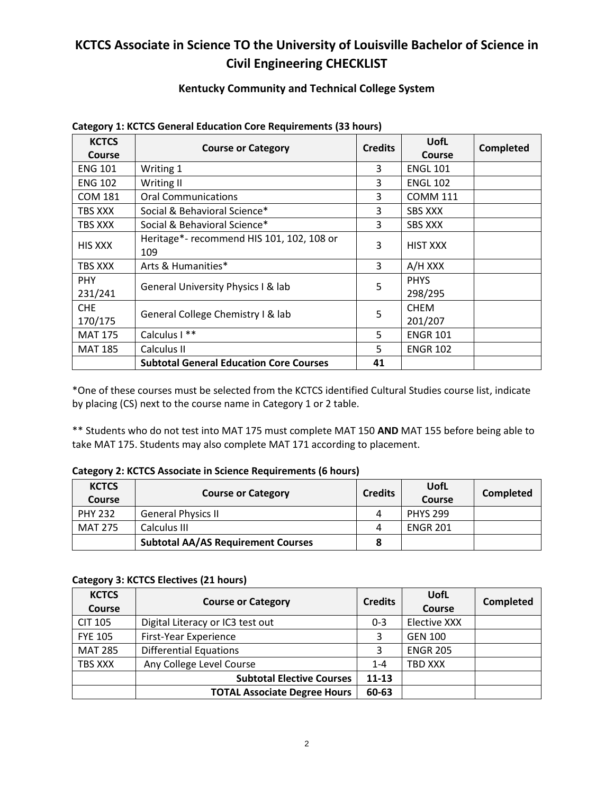## **KCTCS Associate in Science TO the University of Louisville Bachelor of Science in Civil Engineering CHECKLIST**

### **Kentucky Community and Technical College System**

| <b>KCTCS</b><br><b>Course</b> | <b>Course or Category</b>                        | <b>Credits</b> | <b>UofL</b><br>Course  | Completed |
|-------------------------------|--------------------------------------------------|----------------|------------------------|-----------|
| <b>ENG 101</b>                | Writing 1                                        | 3              | <b>ENGL 101</b>        |           |
| <b>ENG 102</b>                | Writing II                                       | 3              | <b>ENGL 102</b>        |           |
| <b>COM 181</b>                | <b>Oral Communications</b>                       | 3              | <b>COMM 111</b>        |           |
| TBS XXX                       | Social & Behavioral Science*                     | 3              | <b>SBS XXX</b>         |           |
| TBS XXX                       | Social & Behavioral Science*                     | 3              | <b>SBS XXX</b>         |           |
| <b>HIS XXX</b>                | Heritage*- recommend HIS 101, 102, 108 or<br>109 | 3              | <b>HIST XXX</b>        |           |
| TBS XXX                       | Arts & Humanities*                               | 3              | A/H XXX                |           |
| <b>PHY</b><br>231/241         | General University Physics I & lab               | 5              | <b>PHYS</b><br>298/295 |           |
| CHE<br>170/175                | General College Chemistry I & lab                | 5              | <b>CHEM</b><br>201/207 |           |
| <b>MAT 175</b>                | Calculus I **                                    | 5              | <b>ENGR 101</b>        |           |
| <b>MAT 185</b>                | Calculus II                                      | 5              | <b>ENGR 102</b>        |           |
|                               | <b>Subtotal General Education Core Courses</b>   | 41             |                        |           |

#### **Category 1: KCTCS General Education Core Requirements (33 hours)**

\*One of these courses must be selected from the KCTCS identified Cultural Studies course list, indicate by placing (CS) next to the course name in Category 1 or 2 table.

\*\* Students who do not test into MAT 175 must complete MAT 150 **AND** MAT 155 before being able to take MAT 175. Students may also complete MAT 171 according to placement.

#### **Category 2: KCTCS Associate in Science Requirements (6 hours)**

| <b>KCTCS</b><br><b>Course</b> | <b>Course or Category</b>                 | <b>Credits</b> | UofL<br>Course  | Completed |
|-------------------------------|-------------------------------------------|----------------|-----------------|-----------|
| <b>PHY 232</b>                | <b>General Physics II</b>                 | 4              | <b>PHYS 299</b> |           |
| <b>MAT 275</b>                | Calculus III                              | 4              | <b>ENGR 201</b> |           |
|                               | <b>Subtotal AA/AS Requirement Courses</b> |                |                 |           |

#### **Category 3: KCTCS Electives (21 hours)**

| <b>KCTCS</b>   | <b>Course or Category</b>           | <b>Credits</b> | UofL            | <b>Completed</b> |
|----------------|-------------------------------------|----------------|-----------------|------------------|
| <b>Course</b>  |                                     |                | Course          |                  |
| <b>CIT 105</b> | Digital Literacy or IC3 test out    | $0 - 3$        | Elective XXX    |                  |
| <b>FYE 105</b> | First-Year Experience               |                | <b>GEN 100</b>  |                  |
| <b>MAT 285</b> | <b>Differential Equations</b>       |                | <b>ENGR 205</b> |                  |
| TBS XXX        | Any College Level Course            | $1 - 4$        | TBD XXX         |                  |
|                | <b>Subtotal Elective Courses</b>    | $11 - 13$      |                 |                  |
|                | <b>TOTAL Associate Degree Hours</b> | 60-63          |                 |                  |